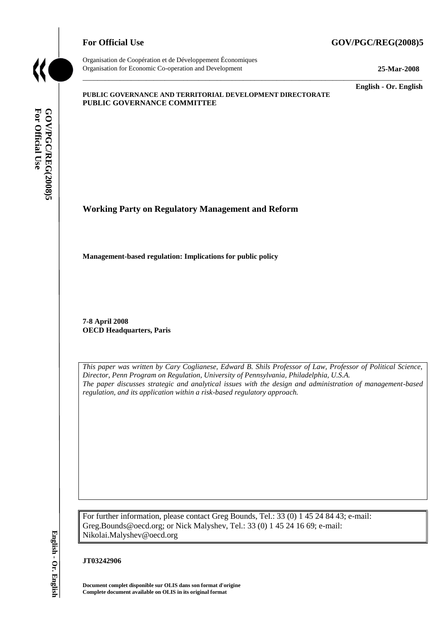

# For Official Use **GOV/PGC/REG(2008)5**

Organisation de Coopération et de Développement Économiques Organisation for Economic Co-operation and Development **25-Mar-2008**

\_\_\_\_\_\_\_\_\_\_\_\_\_ **English - Or. English**

#### **PUBLIC GOVERNANCE AND TERRITORIAL DEVELOPMENT DIRECTORATE PUBLIC GOVERNANCE COMMITTEE**

\_\_\_\_\_\_\_\_\_\_\_\_\_\_\_\_\_\_\_\_\_\_\_\_\_\_\_\_\_\_\_\_\_\_\_\_\_\_\_\_\_\_\_\_\_\_\_\_\_\_\_\_\_\_\_\_\_\_\_\_\_\_\_\_\_\_\_\_\_\_\_\_\_\_\_\_\_\_\_\_\_\_\_\_\_\_\_\_\_\_\_

**Working Party on Regulatory Management and Reform**

**Management-based regulation: Implications for public policy**

**7-8 April 2008 OECD Headquarters, Paris**

*This paper was written by Cary Coglianese, Edward B. Shils Professor of Law, Professor of Political Science, Director, Penn Program on Regulation, University of Pennsylvania, Philadelphia, U.S.A. The paper discusses strategic and analytical issues with the design and administration of management-based regulation, and its application within a risk-based regulatory approach.* **Complete document based regulation:** Implications<br>
Complete document based regulation: Implications<br>
This paper was written by Cary Coglianese, En<br>
This paper was written by Cary Coglianese, En<br>
This paper was written by

For further information, please contact Greg Bounds, Tel.: 33 (0) 1 45 24 84 43; e-mail: Greg.Bounds@oecd.org; or Nick Malyshev, Tel.: 33 (0) 1 45 24 16 69; e-mail: Nikolai.Malyshev@oecd.org

#### **JT03242906**

**Document complet disponible sur OLIS dans son format d'origine**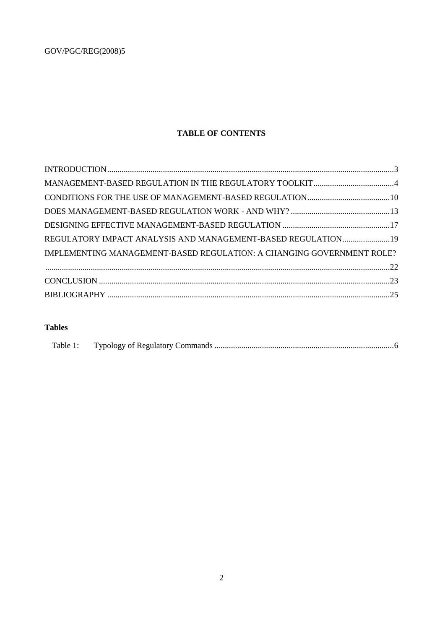# **TABLE OF CONTENTS**

| REGULATORY IMPACT ANALYSIS AND MANAGEMENT-BASED REGULATION 19         |  |
|-----------------------------------------------------------------------|--|
| IMPLEMENTING MANAGEMENT-BASED REGULATION: A CHANGING GOVERNMENT ROLE? |  |
|                                                                       |  |
|                                                                       |  |
|                                                                       |  |

# **Tables**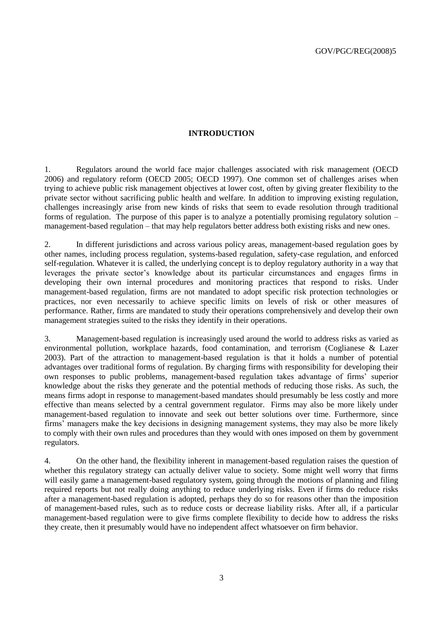## **INTRODUCTION**

1. Regulators around the world face major challenges associated with risk management (OECD 2006) and regulatory reform (OECD 2005; OECD 1997). One common set of challenges arises when trying to achieve public risk management objectives at lower cost, often by giving greater flexibility to the private sector without sacrificing public health and welfare. In addition to improving existing regulation, challenges increasingly arise from new kinds of risks that seem to evade resolution through traditional forms of regulation. The purpose of this paper is to analyze a potentially promising regulatory solution – management-based regulation – that may help regulators better address both existing risks and new ones.

2. In different jurisdictions and across various policy areas, management-based regulation goes by other names, including process regulation, systems-based regulation, safety-case regulation, and enforced self-regulation. Whatever it is called, the underlying concept is to deploy regulatory authority in a way that leverages the private sector's knowledge about its particular circumstances and engages firms in developing their own internal procedures and monitoring practices that respond to risks. Under management-based regulation, firms are not mandated to adopt specific risk protection technologies or practices, nor even necessarily to achieve specific limits on levels of risk or other measures of performance. Rather, firms are mandated to study their operations comprehensively and develop their own management strategies suited to the risks they identify in their operations.

3. Management-based regulation is increasingly used around the world to address risks as varied as environmental pollution, workplace hazards, food contamination, and terrorism (Coglianese & Lazer 2003). Part of the attraction to management-based regulation is that it holds a number of potential advantages over traditional forms of regulation. By charging firms with responsibility for developing their own responses to public problems, management-based regulation takes advantage of firms' superior knowledge about the risks they generate and the potential methods of reducing those risks. As such, the means firms adopt in response to management-based mandates should presumably be less costly and more effective than means selected by a central government regulator. Firms may also be more likely under management-based regulation to innovate and seek out better solutions over time. Furthermore, since firms' managers make the key decisions in designing management systems, they may also be more likely to comply with their own rules and procedures than they would with ones imposed on them by government regulators.

4. On the other hand, the flexibility inherent in management-based regulation raises the question of whether this regulatory strategy can actually deliver value to society. Some might well worry that firms will easily game a management-based regulatory system, going through the motions of planning and filing required reports but not really doing anything to reduce underlying risks. Even if firms do reduce risks after a management-based regulation is adopted, perhaps they do so for reasons other than the imposition of management-based rules, such as to reduce costs or decrease liability risks. After all, if a particular management-based regulation were to give firms complete flexibility to decide how to address the risks they create, then it presumably would have no independent affect whatsoever on firm behavior.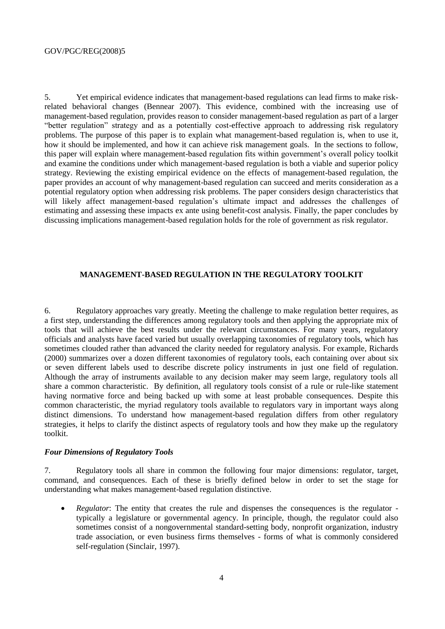5. Yet empirical evidence indicates that management-based regulations can lead firms to make riskrelated behavioral changes (Bennear 2007). This evidence, combined with the increasing use of management-based regulation, provides reason to consider management-based regulation as part of a larger "better regulation" strategy and as a potentially cost-effective approach to addressing risk regulatory problems. The purpose of this paper is to explain what management-based regulation is, when to use it, how it should be implemented, and how it can achieve risk management goals. In the sections to follow, this paper will explain where management-based regulation fits within government's overall policy toolkit and examine the conditions under which management-based regulation is both a viable and superior policy strategy. Reviewing the existing empirical evidence on the effects of management-based regulation, the paper provides an account of why management-based regulation can succeed and merits consideration as a potential regulatory option when addressing risk problems. The paper considers design characteristics that will likely affect management-based regulation's ultimate impact and addresses the challenges of estimating and assessing these impacts ex ante using benefit-cost analysis. Finally, the paper concludes by discussing implications management-based regulation holds for the role of government as risk regulator.

### **MANAGEMENT-BASED REGULATION IN THE REGULATORY TOOLKIT**

6. Regulatory approaches vary greatly. Meeting the challenge to make regulation better requires, as a first step, understanding the differences among regulatory tools and then applying the appropriate mix of tools that will achieve the best results under the relevant circumstances. For many years, regulatory officials and analysts have faced varied but usually overlapping taxonomies of regulatory tools, which has sometimes clouded rather than advanced the clarity needed for regulatory analysis. For example, Richards (2000) summarizes over a dozen different taxonomies of regulatory tools, each containing over about six or seven different labels used to describe discrete policy instruments in just one field of regulation. Although the array of instruments available to any decision maker may seem large, regulatory tools all share a common characteristic. By definition, all regulatory tools consist of a rule or rule-like statement having normative force and being backed up with some at least probable consequences. Despite this common characteristic, the myriad regulatory tools available to regulators vary in important ways along distinct dimensions. To understand how management-based regulation differs from other regulatory strategies, it helps to clarify the distinct aspects of regulatory tools and how they make up the regulatory toolkit.

#### *Four Dimensions of Regulatory Tools*

7. Regulatory tools all share in common the following four major dimensions: regulator, target, command, and consequences. Each of these is briefly defined below in order to set the stage for understanding what makes management-based regulation distinctive.

 *Regulator*: The entity that creates the rule and dispenses the consequences is the regulator typically a legislature or governmental agency. In principle, though, the regulator could also sometimes consist of a nongovernmental standard-setting body, nonprofit organization, industry trade association, or even business firms themselves - forms of what is commonly considered self-regulation (Sinclair, 1997).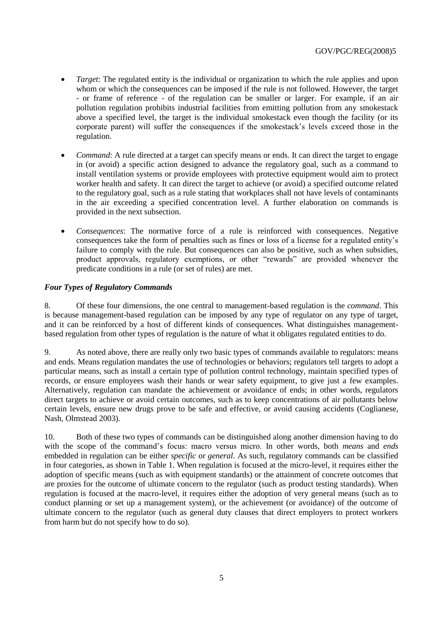- *Target*: The regulated entity is the individual or organization to which the rule applies and upon whom or which the consequences can be imposed if the rule is not followed. However, the target - or frame of reference - of the regulation can be smaller or larger. For example, if an air pollution regulation prohibits industrial facilities from emitting pollution from any smokestack above a specified level, the target is the individual smokestack even though the facility (or its corporate parent) will suffer the consequences if the smokestack's levels exceed those in the regulation.
- *Command*: A rule directed at a target can specify means or ends. It can direct the target to engage in (or avoid) a specific action designed to advance the regulatory goal, such as a command to install ventilation systems or provide employees with protective equipment would aim to protect worker health and safety. It can direct the target to achieve (or avoid) a specified outcome related to the regulatory goal, such as a rule stating that workplaces shall not have levels of contaminants in the air exceeding a specified concentration level. A further elaboration on commands is provided in the next subsection.
- *Consequences*: The normative force of a rule is reinforced with consequences. Negative consequences take the form of penalties such as fines or loss of a license for a regulated entity's failure to comply with the rule. But consequences can also be positive, such as when subsidies, product approvals, regulatory exemptions, or other "rewards" are provided whenever the predicate conditions in a rule (or set of rules) are met.

### *Four Types of Regulatory Commands*

8. Of these four dimensions, the one central to management-based regulation is the *command*. This is because management-based regulation can be imposed by any type of regulator on any type of target, and it can be reinforced by a host of different kinds of consequences. What distinguishes managementbased regulation from other types of regulation is the nature of what it obligates regulated entities to do.

9. As noted above, there are really only two basic types of commands available to regulators: means and ends. Means regulation mandates the use of technologies or behaviors; regulators tell targets to adopt a particular means, such as install a certain type of pollution control technology, maintain specified types of records, or ensure employees wash their hands or wear safety equipment, to give just a few examples. Alternatively, regulation can mandate the achievement or avoidance of ends; in other words, regulators direct targets to achieve or avoid certain outcomes, such as to keep concentrations of air pollutants below certain levels, ensure new drugs prove to be safe and effective, or avoid causing accidents (Coglianese, Nash, Olmstead 2003).

10. Both of these two types of commands can be distinguished along another dimension having to do with the scope of the command's focus: macro versus micro. In other words, both *means* and *ends* embedded in regulation can be either *specific* or *general*. As such, regulatory commands can be classified in four categories, as shown in Table 1. When regulation is focused at the micro-level, it requires either the adoption of specific means (such as with equipment standards) or the attainment of concrete outcomes that are proxies for the outcome of ultimate concern to the regulator (such as product testing standards). When regulation is focused at the macro-level, it requires either the adoption of very general means (such as to conduct planning or set up a management system), or the achievement (or avoidance) of the outcome of ultimate concern to the regulator (such as general duty clauses that direct employers to protect workers from harm but do not specify how to do so).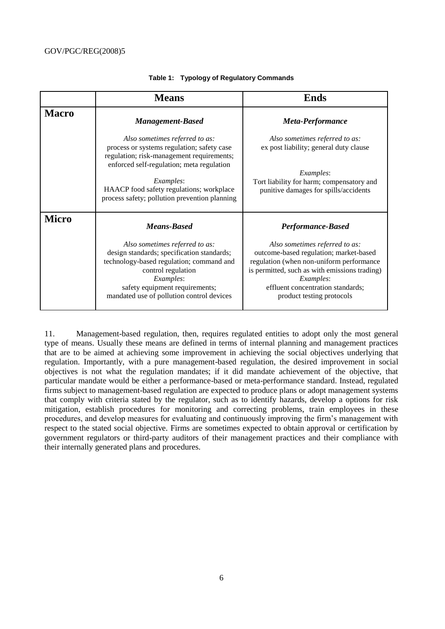|              | <b>Means</b>                                                                                                                                                                                                                               | <b>Ends</b>                                                                                                                                                                                                                                                 |
|--------------|--------------------------------------------------------------------------------------------------------------------------------------------------------------------------------------------------------------------------------------------|-------------------------------------------------------------------------------------------------------------------------------------------------------------------------------------------------------------------------------------------------------------|
| <b>Macro</b> | <b>Management-Based</b>                                                                                                                                                                                                                    | <b>Meta-Performance</b>                                                                                                                                                                                                                                     |
|              | Also sometimes referred to as:<br>process or systems regulation; safety case<br>regulation; risk-management requirements;<br>enforced self-regulation; meta regulation                                                                     | Also sometimes referred to as:<br>ex post liability; general duty clause                                                                                                                                                                                    |
|              | Examples:<br>HAACP food safety regulations; workplace<br>process safety; pollution prevention planning                                                                                                                                     | Examples:<br>Tort liability for harm; compensatory and<br>punitive damages for spills/accidents                                                                                                                                                             |
| <b>Micro</b> | <b>Means-Based</b>                                                                                                                                                                                                                         | <b>Performance-Based</b>                                                                                                                                                                                                                                    |
|              | Also sometimes referred to as:<br>design standards; specification standards;<br>technology-based regulation; command and<br>control regulation<br>Examples:<br>safety equipment requirements;<br>mandated use of pollution control devices | Also sometimes referred to as:<br>outcome-based regulation; market-based<br>regulation (when non-uniform performance<br>is permitted, such as with emissions trading)<br><i>Examples:</i><br>effluent concentration standards;<br>product testing protocols |

#### **Table 1: Typology of Regulatory Commands**

11. Management-based regulation, then, requires regulated entities to adopt only the most general type of means. Usually these means are defined in terms of internal planning and management practices that are to be aimed at achieving some improvement in achieving the social objectives underlying that regulation. Importantly, with a pure management-based regulation, the desired improvement in social objectives is not what the regulation mandates; if it did mandate achievement of the objective, that particular mandate would be either a performance-based or meta-performance standard. Instead, regulated firms subject to management-based regulation are expected to produce plans or adopt management systems that comply with criteria stated by the regulator, such as to identify hazards, develop a options for risk mitigation, establish procedures for monitoring and correcting problems, train employees in these procedures, and develop measures for evaluating and continuously improving the firm's management with respect to the stated social objective. Firms are sometimes expected to obtain approval or certification by government regulators or third-party auditors of their management practices and their compliance with their internally generated plans and procedures.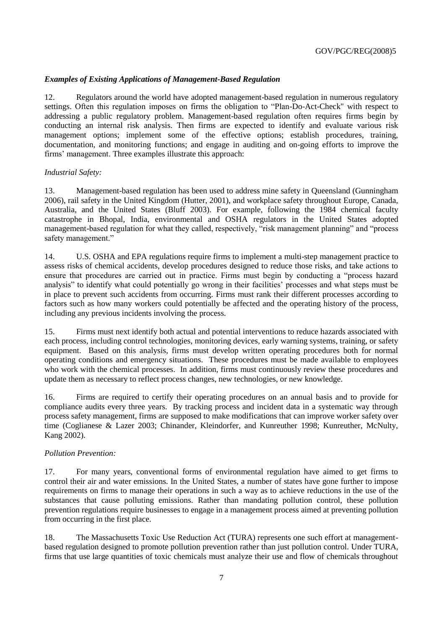## *Examples of Existing Applications of Management-Based Regulation*

12. Regulators around the world have adopted management-based regulation in numerous regulatory settings. Often this regulation imposes on firms the obligation to "Plan-Do-Act-Check" with respect to addressing a public regulatory problem. Management-based regulation often requires firms begin by conducting an internal risk analysis. Then firms are expected to identify and evaluate various risk management options; implement some of the effective options; establish procedures, training, documentation, and monitoring functions; and engage in auditing and on-going efforts to improve the firms' management. Three examples illustrate this approach:

### *Industrial Safety:*

13. Management-based regulation has been used to address mine safety in Queensland (Gunningham 2006), rail safety in the United Kingdom (Hutter, 2001), and workplace safety throughout Europe, Canada, Australia, and the United States (Bluff 2003). For example, following the 1984 chemical faculty catastrophe in Bhopal, India, environmental and OSHA regulators in the United States adopted management-based regulation for what they called, respectively, "risk management planning" and "process safety management."

14. U.S. OSHA and EPA regulations require firms to implement a multi-step management practice to assess risks of chemical accidents, develop procedures designed to reduce those risks, and take actions to ensure that procedures are carried out in practice. Firms must begin by conducting a "process hazard analysis" to identify what could potentially go wrong in their facilities' processes and what steps must be in place to prevent such accidents from occurring. Firms must rank their different processes according to factors such as how many workers could potentially be affected and the operating history of the process, including any previous incidents involving the process.

15. Firms must next identify both actual and potential interventions to reduce hazards associated with each process, including control technologies, monitoring devices, early warning systems, training, or safety equipment. Based on this analysis, firms must develop written operating procedures both for normal operating conditions and emergency situations. These procedures must be made available to employees who work with the chemical processes. In addition, firms must continuously review these procedures and update them as necessary to reflect process changes, new technologies, or new knowledge.

16. Firms are required to certify their operating procedures on an annual basis and to provide for compliance audits every three years. By tracking process and incident data in a systematic way through process safety management, firms are supposed to make modifications that can improve worker safety over time (Coglianese & Lazer 2003; Chinander, Kleindorfer, and Kunreuther 1998; Kunreuther, McNulty, Kang 2002).

### *Pollution Prevention:*

17. For many years, conventional forms of environmental regulation have aimed to get firms to control their air and water emissions. In the United States, a number of states have gone further to impose requirements on firms to manage their operations in such a way as to achieve reductions in the use of the substances that cause polluting emissions. Rather than mandating pollution control, these pollution prevention regulations require businesses to engage in a management process aimed at preventing pollution from occurring in the first place.

18. The Massachusetts Toxic Use Reduction Act (TURA) represents one such effort at managementbased regulation designed to promote pollution prevention rather than just pollution control. Under TURA, firms that use large quantities of toxic chemicals must analyze their use and flow of chemicals throughout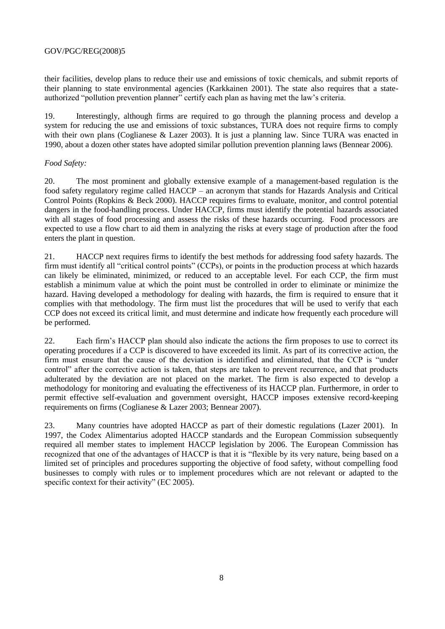their facilities, develop plans to reduce their use and emissions of toxic chemicals, and submit reports of their planning to state environmental agencies (Karkkainen 2001). The state also requires that a stateauthorized "pollution prevention planner" certify each plan as having met the law's criteria.

19. Interestingly, although firms are required to go through the planning process and develop a system for reducing the use and emissions of toxic substances, TURA does not require firms to comply with their own plans (Coglianese & Lazer 2003). It is just a planning law. Since TURA was enacted in 1990, about a dozen other states have adopted similar pollution prevention planning laws (Bennear 2006).

## *Food Safety:*

20. The most prominent and globally extensive example of a management-based regulation is the food safety regulatory regime called HACCP – an acronym that stands for Hazards Analysis and Critical Control Points (Ropkins & Beck 2000). HACCP requires firms to evaluate, monitor, and control potential dangers in the food-handling process. Under HACCP, firms must identify the potential hazards associated with all stages of food processing and assess the risks of these hazards occurring. Food processors are expected to use a flow chart to aid them in analyzing the risks at every stage of production after the food enters the plant in question.

21. HACCP next requires firms to identify the best methods for addressing food safety hazards. The firm must identify all "critical control points" (CCPs), or points in the production process at which hazards can likely be eliminated, minimized, or reduced to an acceptable level. For each CCP, the firm must establish a minimum value at which the point must be controlled in order to eliminate or minimize the hazard. Having developed a methodology for dealing with hazards, the firm is required to ensure that it complies with that methodology. The firm must list the procedures that will be used to verify that each CCP does not exceed its critical limit, and must determine and indicate how frequently each procedure will be performed.

22. Each firm's HACCP plan should also indicate the actions the firm proposes to use to correct its operating procedures if a CCP is discovered to have exceeded its limit. As part of its corrective action, the firm must ensure that the cause of the deviation is identified and eliminated, that the CCP is "under control" after the corrective action is taken, that steps are taken to prevent recurrence, and that products adulterated by the deviation are not placed on the market. The firm is also expected to develop a methodology for monitoring and evaluating the effectiveness of its HACCP plan. Furthermore, in order to permit effective self-evaluation and government oversight, HACCP imposes extensive record-keeping requirements on firms (Coglianese & Lazer 2003; Bennear 2007).

23. Many countries have adopted HACCP as part of their domestic regulations (Lazer 2001). In 1997, the Codex Alimentarius adopted HACCP standards and the European Commission subsequently required all member states to implement HACCP legislation by 2006. The European Commission has recognized that one of the advantages of HACCP is that it is "flexible by its very nature, being based on a limited set of principles and procedures supporting the objective of food safety, without compelling food businesses to comply with rules or to implement procedures which are not relevant or adapted to the specific context for their activity" (EC 2005).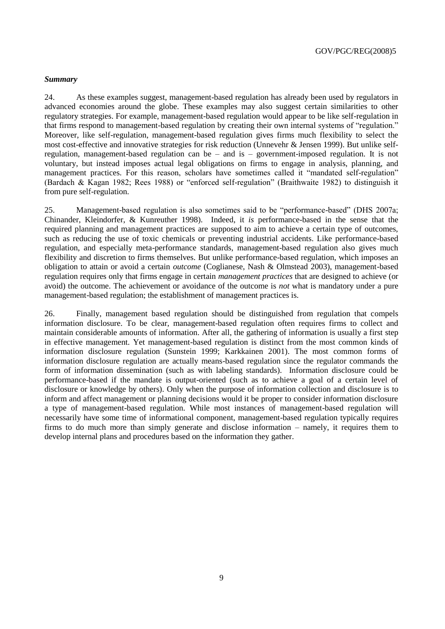#### *Summary*

24. As these examples suggest, management-based regulation has already been used by regulators in advanced economies around the globe. These examples may also suggest certain similarities to other regulatory strategies. For example, management-based regulation would appear to be like self-regulation in that firms respond to management-based regulation by creating their own internal systems of "regulation." Moreover, like self-regulation, management-based regulation gives firms much flexibility to select the most cost-effective and innovative strategies for risk reduction (Unnevehr & Jensen 1999). But unlike selfregulation, management-based regulation can be – and is – government-imposed regulation. It is not voluntary, but instead imposes actual legal obligations on firms to engage in analysis, planning, and management practices. For this reason, scholars have sometimes called it "mandated self-regulation" (Bardach & Kagan 1982; Rees 1988) or "enforced self-regulation" (Braithwaite 1982) to distinguish it from pure self-regulation.

25. Management-based regulation is also sometimes said to be "performance-based" (DHS 2007a; Chinander, Kleindorfer, & Kunreuther 1998). Indeed, it *is* performance-based in the sense that the required planning and management practices are supposed to aim to achieve a certain type of outcomes, such as reducing the use of toxic chemicals or preventing industrial accidents. Like performance-based regulation, and especially meta-performance standards, management-based regulation also gives much flexibility and discretion to firms themselves. But unlike performance-based regulation, which imposes an obligation to attain or avoid a certain *outcome* (Coglianese, Nash & Olmstead 2003), management-based regulation requires only that firms engage in certain *management practices* that are designed to achieve (or avoid) the outcome. The achievement or avoidance of the outcome is *not* what is mandatory under a pure management-based regulation; the establishment of management practices is.

26. Finally, management based regulation should be distinguished from regulation that compels information disclosure. To be clear, management-based regulation often requires firms to collect and maintain considerable amounts of information. After all, the gathering of information is usually a first step in effective management. Yet management-based regulation is distinct from the most common kinds of information disclosure regulation (Sunstein 1999; Karkkainen 2001). The most common forms of information disclosure regulation are actually means-based regulation since the regulator commands the form of information dissemination (such as with labeling standards). Information disclosure could be performance-based if the mandate is output-oriented (such as to achieve a goal of a certain level of disclosure or knowledge by others). Only when the purpose of information collection and disclosure is to inform and affect management or planning decisions would it be proper to consider information disclosure a type of management-based regulation. While most instances of management-based regulation will necessarily have some time of informational component, management-based regulation typically requires firms to do much more than simply generate and disclose information – namely, it requires them to develop internal plans and procedures based on the information they gather.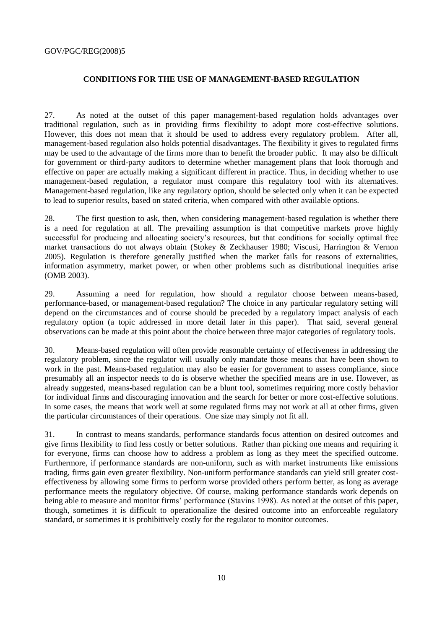### **CONDITIONS FOR THE USE OF MANAGEMENT-BASED REGULATION**

27. As noted at the outset of this paper management-based regulation holds advantages over traditional regulation, such as in providing firms flexibility to adopt more cost-effective solutions. However, this does not mean that it should be used to address every regulatory problem. After all, management-based regulation also holds potential disadvantages. The flexibility it gives to regulated firms may be used to the advantage of the firms more than to benefit the broader public. It may also be difficult for government or third-party auditors to determine whether management plans that look thorough and effective on paper are actually making a significant different in practice. Thus, in deciding whether to use management-based regulation, a regulator must compare this regulatory tool with its alternatives. Management-based regulation, like any regulatory option, should be selected only when it can be expected to lead to superior results, based on stated criteria, when compared with other available options.

28. The first question to ask, then, when considering management-based regulation is whether there is a need for regulation at all. The prevailing assumption is that competitive markets prove highly successful for producing and allocating society's resources, but that conditions for socially optimal free market transactions do not always obtain (Stokey & Zeckhauser 1980; Viscusi, Harrington & Vernon 2005). Regulation is therefore generally justified when the market fails for reasons of externalities, information asymmetry, market power, or when other problems such as distributional inequities arise (OMB 2003).

29. Assuming a need for regulation, how should a regulator choose between means-based, performance-based, or management-based regulation? The choice in any particular regulatory setting will depend on the circumstances and of course should be preceded by a regulatory impact analysis of each regulatory option (a topic addressed in more detail later in this paper). That said, several general observations can be made at this point about the choice between three major categories of regulatory tools.

30. Means-based regulation will often provide reasonable certainty of effectiveness in addressing the regulatory problem, since the regulator will usually only mandate those means that have been shown to work in the past. Means-based regulation may also be easier for government to assess compliance, since presumably all an inspector needs to do is observe whether the specified means are in use. However, as already suggested, means-based regulation can be a blunt tool, sometimes requiring more costly behavior for individual firms and discouraging innovation and the search for better or more cost-effective solutions. In some cases, the means that work well at some regulated firms may not work at all at other firms, given the particular circumstances of their operations. One size may simply not fit all.

31. In contrast to means standards, performance standards focus attention on desired outcomes and give firms flexibility to find less costly or better solutions. Rather than picking one means and requiring it for everyone, firms can choose how to address a problem as long as they meet the specified outcome. Furthermore, if performance standards are non-uniform, such as with market instruments like emissions trading, firms gain even greater flexibility. Non-uniform performance standards can yield still greater costeffectiveness by allowing some firms to perform worse provided others perform better, as long as average performance meets the regulatory objective. Of course, making performance standards work depends on being able to measure and monitor firms' performance (Stavins 1998). As noted at the outset of this paper, though, sometimes it is difficult to operationalize the desired outcome into an enforceable regulatory standard, or sometimes it is prohibitively costly for the regulator to monitor outcomes.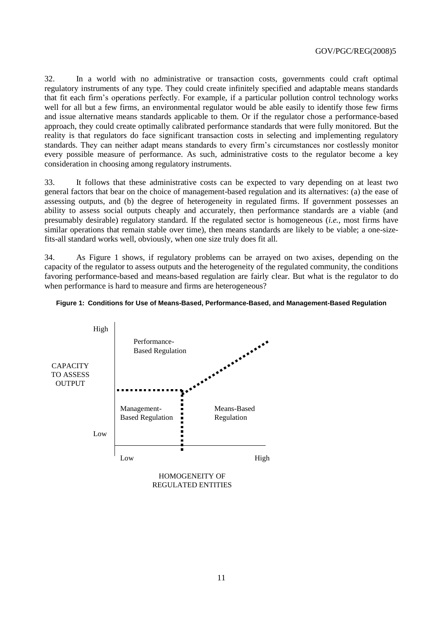32. In a world with no administrative or transaction costs, governments could craft optimal regulatory instruments of any type. They could create infinitely specified and adaptable means standards that fit each firm's operations perfectly. For example, if a particular pollution control technology works well for all but a few firms, an environmental regulator would be able easily to identify those few firms and issue alternative means standards applicable to them. Or if the regulator chose a performance-based approach, they could create optimally calibrated performance standards that were fully monitored. But the reality is that regulators do face significant transaction costs in selecting and implementing regulatory standards. They can neither adapt means standards to every firm's circumstances nor costlessly monitor every possible measure of performance. As such, administrative costs to the regulator become a key consideration in choosing among regulatory instruments.

33. It follows that these administrative costs can be expected to vary depending on at least two general factors that bear on the choice of management-based regulation and its alternatives: (a) the ease of assessing outputs, and (b) the degree of heterogeneity in regulated firms. If government possesses an ability to assess social outputs cheaply and accurately, then performance standards are a viable (and presumably desirable) regulatory standard. If the regulated sector is homogeneous (*i.e.*, most firms have similar operations that remain stable over time), then means standards are likely to be viable; a one-sizefits-all standard works well, obviously, when one size truly does fit all.

34. As Figure 1 shows, if regulatory problems can be arrayed on two axises, depending on the capacity of the regulator to assess outputs and the heterogeneity of the regulated community, the conditions favoring performance-based and means-based regulation are fairly clear. But what is the regulator to do when performance is hard to measure and firms are heterogeneous?



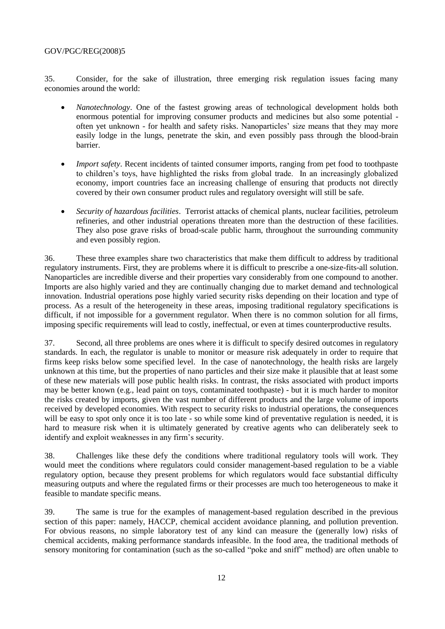35. Consider, for the sake of illustration, three emerging risk regulation issues facing many economies around the world:

- *Nanotechnology*. One of the fastest growing areas of technological development holds both enormous potential for improving consumer products and medicines but also some potential often yet unknown - for health and safety risks. Nanoparticles' size means that they may more easily lodge in the lungs, penetrate the skin, and even possibly pass through the blood-brain barrier.
- *Import safety*. Recent incidents of tainted consumer imports, ranging from pet food to toothpaste to children's toys, have highlighted the risks from global trade. In an increasingly globalized economy, import countries face an increasing challenge of ensuring that products not directly covered by their own consumer product rules and regulatory oversight will still be safe.
- *Security of hazardous facilities*. Terrorist attacks of chemical plants, nuclear facilities, petroleum refineries, and other industrial operations threaten more than the destruction of these facilities. They also pose grave risks of broad-scale public harm, throughout the surrounding community and even possibly region.

36. These three examples share two characteristics that make them difficult to address by traditional regulatory instruments. First, they are problems where it is difficult to prescribe a one-size-fits-all solution. Nanoparticles are incredible diverse and their properties vary considerably from one compound to another. Imports are also highly varied and they are continually changing due to market demand and technological innovation. Industrial operations pose highly varied security risks depending on their location and type of process. As a result of the heterogeneity in these areas, imposing traditional regulatory specifications is difficult, if not impossible for a government regulator. When there is no common solution for all firms, imposing specific requirements will lead to costly, ineffectual, or even at times counterproductive results.

37. Second, all three problems are ones where it is difficult to specify desired outcomes in regulatory standards. In each, the regulator is unable to monitor or measure risk adequately in order to require that firms keep risks below some specified level. In the case of nanotechnology, the health risks are largely unknown at this time, but the properties of nano particles and their size make it plausible that at least some of these new materials will pose public health risks. In contrast, the risks associated with product imports may be better known (e.g., lead paint on toys, contaminated toothpaste) - but it is much harder to monitor the risks created by imports, given the vast number of different products and the large volume of imports received by developed economies. With respect to security risks to industrial operations, the consequences will be easy to spot only once it is too late - so while some kind of preventative regulation is needed, it is hard to measure risk when it is ultimately generated by creative agents who can deliberately seek to identify and exploit weaknesses in any firm's security.

38. Challenges like these defy the conditions where traditional regulatory tools will work. They would meet the conditions where regulators could consider management-based regulation to be a viable regulatory option, because they present problems for which regulators would face substantial difficulty measuring outputs and where the regulated firms or their processes are much too heterogeneous to make it feasible to mandate specific means.

39. The same is true for the examples of management-based regulation described in the previous section of this paper: namely, HACCP, chemical accident avoidance planning, and pollution prevention. For obvious reasons, no simple laboratory test of any kind can measure the (generally low) risks of chemical accidents, making performance standards infeasible. In the food area, the traditional methods of sensory monitoring for contamination (such as the so-called "poke and sniff" method) are often unable to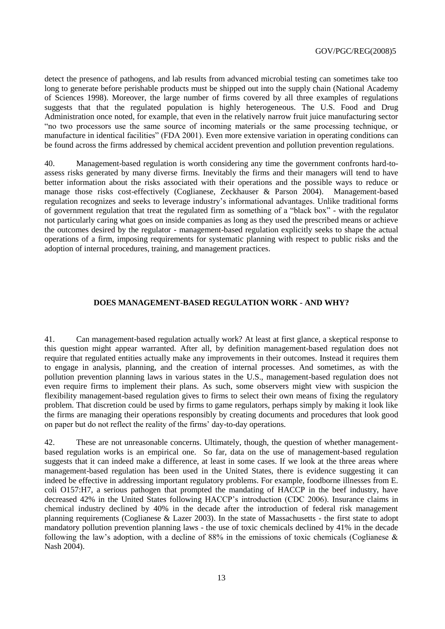detect the presence of pathogens, and lab results from advanced microbial testing can sometimes take too long to generate before perishable products must be shipped out into the supply chain (National Academy of Sciences 1998). Moreover, the large number of firms covered by all three examples of regulations suggests that that the regulated population is highly heterogeneous. The U.S. Food and Drug Administration once noted, for example, that even in the relatively narrow fruit juice manufacturing sector "no two processors use the same source of incoming materials or the same processing technique, or manufacture in identical facilities" (FDA 2001). Even more extensive variation in operating conditions can be found across the firms addressed by chemical accident prevention and pollution prevention regulations.

40. Management-based regulation is worth considering any time the government confronts hard-toassess risks generated by many diverse firms. Inevitably the firms and their managers will tend to have better information about the risks associated with their operations and the possible ways to reduce or manage those risks cost-effectively (Coglianese, Zeckhauser & Parson 2004). Management-based regulation recognizes and seeks to leverage industry's informational advantages. Unlike traditional forms of government regulation that treat the regulated firm as something of a "black box" - with the regulator not particularly caring what goes on inside companies as long as they used the prescribed means or achieve the outcomes desired by the regulator - management-based regulation explicitly seeks to shape the actual operations of a firm, imposing requirements for systematic planning with respect to public risks and the adoption of internal procedures, training, and management practices.

#### **DOES MANAGEMENT-BASED REGULATION WORK - AND WHY?**

41. Can management-based regulation actually work? At least at first glance, a skeptical response to this question might appear warranted. After all, by definition management-based regulation does not require that regulated entities actually make any improvements in their outcomes. Instead it requires them to engage in analysis, planning, and the creation of internal processes. And sometimes, as with the pollution prevention planning laws in various states in the U.S., management-based regulation does not even require firms to implement their plans. As such, some observers might view with suspicion the flexibility management-based regulation gives to firms to select their own means of fixing the regulatory problem. That discretion could be used by firms to game regulators, perhaps simply by making it look like the firms are managing their operations responsibly by creating documents and procedures that look good on paper but do not reflect the reality of the firms' day-to-day operations.

42. These are not unreasonable concerns. Ultimately, though, the question of whether managementbased regulation works is an empirical one. So far, data on the use of management-based regulation suggests that it can indeed make a difference, at least in some cases. If we look at the three areas where management-based regulation has been used in the United States, there is evidence suggesting it can indeed be effective in addressing important regulatory problems. For example, foodborne illnesses from E. coli O157:H7, a serious pathogen that prompted the mandating of HACCP in the beef industry, have decreased 42% in the United States following HACCP's introduction (CDC 2006). Insurance claims in chemical industry declined by 40% in the decade after the introduction of federal risk management planning requirements (Coglianese & Lazer 2003). In the state of Massachusetts - the first state to adopt mandatory pollution prevention planning laws - the use of toxic chemicals declined by 41% in the decade following the law's adoption, with a decline of 88% in the emissions of toxic chemicals (Coglianese  $\&$ Nash 2004).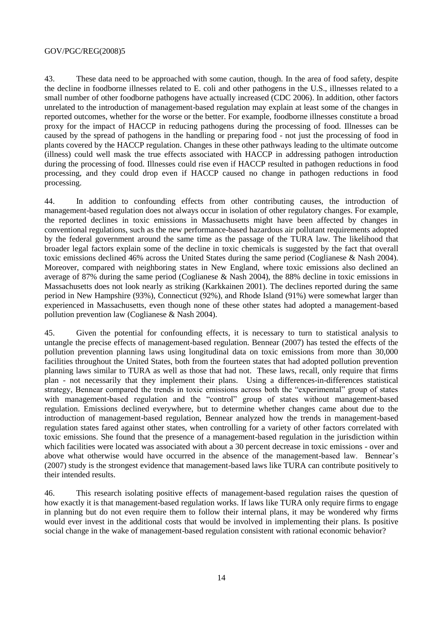43. These data need to be approached with some caution, though. In the area of food safety, despite the decline in foodborne illnesses related to E. coli and other pathogens in the U.S., illnesses related to a small number of other foodborne pathogens have actually increased (CDC 2006). In addition, other factors unrelated to the introduction of management-based regulation may explain at least some of the changes in reported outcomes, whether for the worse or the better. For example, foodborne illnesses constitute a broad proxy for the impact of HACCP in reducing pathogens during the processing of food. Illnesses can be caused by the spread of pathogens in the handling or preparing food - not just the processing of food in plants covered by the HACCP regulation. Changes in these other pathways leading to the ultimate outcome (illness) could well mask the true effects associated with HACCP in addressing pathogen introduction during the processing of food. Illnesses could rise even if HACCP resulted in pathogen reductions in food processing, and they could drop even if HACCP caused no change in pathogen reductions in food processing.

44. In addition to confounding effects from other contributing causes, the introduction of management-based regulation does not always occur in isolation of other regulatory changes. For example, the reported declines in toxic emissions in Massachusetts might have been affected by changes in conventional regulations, such as the new performance-based hazardous air pollutant requirements adopted by the federal government around the same time as the passage of the TURA law. The likelihood that broader legal factors explain some of the decline in toxic chemicals is suggested by the fact that overall toxic emissions declined 46% across the United States during the same period (Coglianese & Nash 2004). Moreover, compared with neighboring states in New England, where toxic emissions also declined an average of 87% during the same period (Coglianese & Nash 2004), the 88% decline in toxic emissions in Massachusetts does not look nearly as striking (Karkkainen 2001). The declines reported during the same period in New Hampshire (93%), Connecticut (92%), and Rhode Island (91%) were somewhat larger than experienced in Massachusetts, even though none of these other states had adopted a management-based pollution prevention law (Coglianese & Nash 2004).

45. Given the potential for confounding effects, it is necessary to turn to statistical analysis to untangle the precise effects of management-based regulation. Bennear (2007) has tested the effects of the pollution prevention planning laws using longitudinal data on toxic emissions from more than 30,000 facilities throughout the United States, both from the fourteen states that had adopted pollution prevention planning laws similar to TURA as well as those that had not. These laws, recall, only require that firms plan - not necessarily that they implement their plans. Using a differences-in-differences statistical strategy, Bennear compared the trends in toxic emissions across both the "experimental" group of states with management-based regulation and the "control" group of states without management-based regulation. Emissions declined everywhere, but to determine whether changes came about due to the introduction of management-based regulation, Bennear analyzed how the trends in management-based regulation states fared against other states, when controlling for a variety of other factors correlated with toxic emissions. She found that the presence of a management-based regulation in the jurisdiction within which facilities were located was associated with about a 30 percent decrease in toxic emissions - over and above what otherwise would have occurred in the absence of the management-based law. Bennear's (2007) study is the strongest evidence that management-based laws like TURA can contribute positively to their intended results.

46. This research isolating positive effects of management-based regulation raises the question of how exactly it is that management-based regulation works. If laws like TURA only require firms to engage in planning but do not even require them to follow their internal plans, it may be wondered why firms would ever invest in the additional costs that would be involved in implementing their plans. Is positive social change in the wake of management-based regulation consistent with rational economic behavior?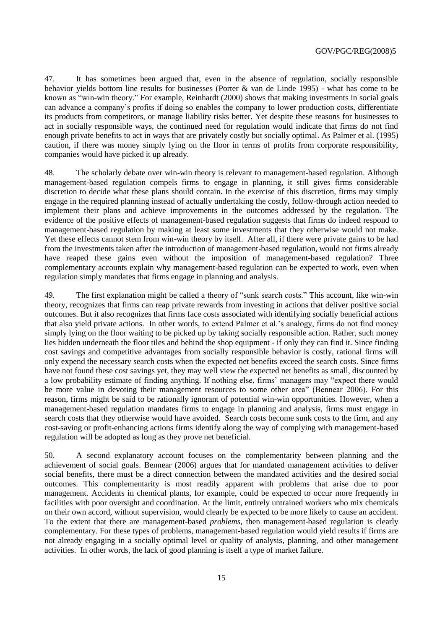47. It has sometimes been argued that, even in the absence of regulation, socially responsible behavior yields bottom line results for businesses (Porter & van de Linde 1995) - what has come to be known as "win-win theory." For example, Reinhardt (2000) shows that making investments in social goals can advance a company's profits if doing so enables the company to lower production costs, differentiate its products from competitors, or manage liability risks better. Yet despite these reasons for businesses to act in socially responsible ways, the continued need for regulation would indicate that firms do not find enough private benefits to act in ways that are privately costly but socially optimal. As Palmer et al. (1995) caution, if there was money simply lying on the floor in terms of profits from corporate responsibility, companies would have picked it up already.

48. The scholarly debate over win-win theory is relevant to management-based regulation. Although management-based regulation compels firms to engage in planning, it still gives firms considerable discretion to decide what these plans should contain. In the exercise of this discretion, firms may simply engage in the required planning instead of actually undertaking the costly, follow-through action needed to implement their plans and achieve improvements in the outcomes addressed by the regulation. The evidence of the positive effects of management-based regulation suggests that firms do indeed respond to management-based regulation by making at least some investments that they otherwise would not make. Yet these effects cannot stem from win-win theory by itself. After all, if there were private gains to be had from the investments taken after the introduction of management-based regulation, would not firms already have reaped these gains even without the imposition of management-based regulation? Three complementary accounts explain why management-based regulation can be expected to work, even when regulation simply mandates that firms engage in planning and analysis.

49. The first explanation might be called a theory of "sunk search costs." This account, like win-win theory, recognizes that firms can reap private rewards from investing in actions that deliver positive social outcomes. But it also recognizes that firms face costs associated with identifying socially beneficial actions that also yield private actions. In other words, to extend Palmer et al.'s analogy, firms do not find money simply lying on the floor waiting to be picked up by taking socially responsible action. Rather, such money lies hidden underneath the floor tiles and behind the shop equipment - if only they can find it. Since finding cost savings and competitive advantages from socially responsible behavior is costly, rational firms will only expend the necessary search costs when the expected net benefits exceed the search costs. Since firms have not found these cost savings yet, they may well view the expected net benefits as small, discounted by a low probability estimate of finding anything. If nothing else, firms' managers may "expect there would be more value in devoting their management resources to some other area" (Bennear 2006). For this reason, firms might be said to be rationally ignorant of potential win-win opportunities. However, when a management-based regulation mandates firms to engage in planning and analysis, firms must engage in search costs that they otherwise would have avoided. Search costs become sunk costs to the firm, and any cost-saving or profit-enhancing actions firms identify along the way of complying with management-based regulation will be adopted as long as they prove net beneficial.

50. A second explanatory account focuses on the complementarity between planning and the achievement of social goals. Bennear (2006) argues that for mandated management activities to deliver social benefits, there must be a direct connection between the mandated activities and the desired social outcomes. This complementarity is most readily apparent with problems that arise due to poor management. Accidents in chemical plants, for example, could be expected to occur more frequently in facilities with poor oversight and coordination. At the limit, entirely untrained workers who mix chemicals on their own accord, without supervision, would clearly be expected to be more likely to cause an accident. To the extent that there are management-based *problems*, then management-based regulation is clearly complementary. For these types of problems, management-based regulation would yield results if firms are not already engaging in a socially optimal level or quality of analysis, planning, and other management activities. In other words, the lack of good planning is itself a type of market failure.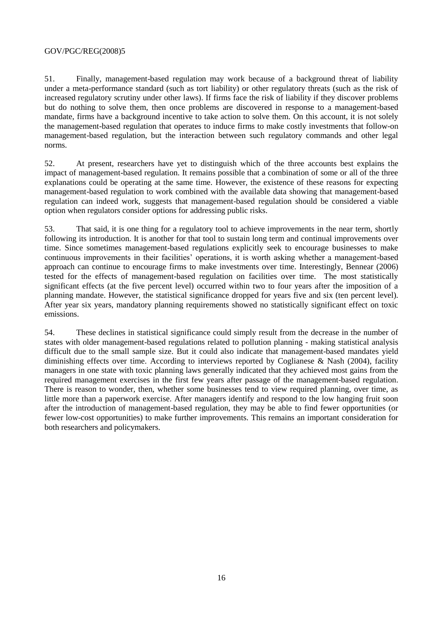51. Finally, management-based regulation may work because of a background threat of liability under a meta-performance standard (such as tort liability) or other regulatory threats (such as the risk of increased regulatory scrutiny under other laws). If firms face the risk of liability if they discover problems but do nothing to solve them, then once problems are discovered in response to a management-based mandate, firms have a background incentive to take action to solve them. On this account, it is not solely the management-based regulation that operates to induce firms to make costly investments that follow-on management-based regulation, but the interaction between such regulatory commands and other legal norms.

52. At present, researchers have yet to distinguish which of the three accounts best explains the impact of management-based regulation. It remains possible that a combination of some or all of the three explanations could be operating at the same time. However, the existence of these reasons for expecting management-based regulation to work combined with the available data showing that management-based regulation can indeed work, suggests that management-based regulation should be considered a viable option when regulators consider options for addressing public risks.

53. That said, it is one thing for a regulatory tool to achieve improvements in the near term, shortly following its introduction. It is another for that tool to sustain long term and continual improvements over time. Since sometimes management-based regulations explicitly seek to encourage businesses to make continuous improvements in their facilities' operations, it is worth asking whether a management-based approach can continue to encourage firms to make investments over time. Interestingly, Bennear (2006) tested for the effects of management-based regulation on facilities over time. The most statistically significant effects (at the five percent level) occurred within two to four years after the imposition of a planning mandate. However, the statistical significance dropped for years five and six (ten percent level). After year six years, mandatory planning requirements showed no statistically significant effect on toxic emissions.

54. These declines in statistical significance could simply result from the decrease in the number of states with older management-based regulations related to pollution planning - making statistical analysis difficult due to the small sample size. But it could also indicate that management-based mandates yield diminishing effects over time. According to interviews reported by Coglianese & Nash (2004), facility managers in one state with toxic planning laws generally indicated that they achieved most gains from the required management exercises in the first few years after passage of the management-based regulation. There is reason to wonder, then, whether some businesses tend to view required planning, over time, as little more than a paperwork exercise. After managers identify and respond to the low hanging fruit soon after the introduction of management-based regulation, they may be able to find fewer opportunities (or fewer low-cost opportunities) to make further improvements. This remains an important consideration for both researchers and policymakers.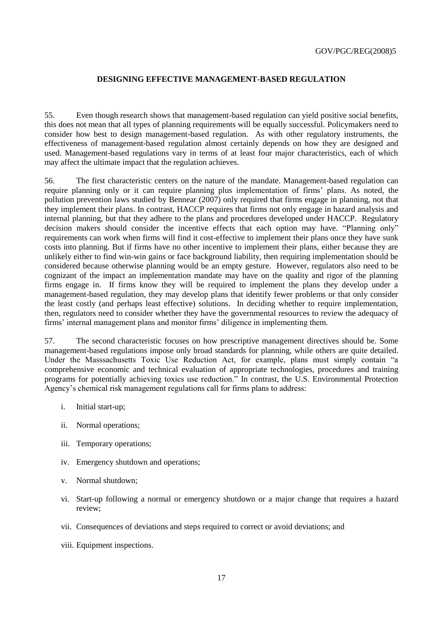### **DESIGNING EFFECTIVE MANAGEMENT-BASED REGULATION**

55. Even though research shows that management-based regulation can yield positive social benefits, this does not mean that all types of planning requirements will be equally successful. Policymakers need to consider how best to design management-based regulation. As with other regulatory instruments, the effectiveness of management-based regulation almost certainly depends on how they are designed and used. Management-based regulations vary in terms of at least four major characteristics, each of which may affect the ultimate impact that the regulation achieves.

56. The first characteristic centers on the nature of the mandate. Management-based regulation can require planning only or it can require planning plus implementation of firms' plans. As noted, the pollution prevention laws studied by Bennear (2007) only required that firms engage in planning, not that they implement their plans. In contrast, HACCP requires that firms not only engage in hazard analysis and internal planning, but that they adhere to the plans and procedures developed under HACCP. Regulatory decision makers should consider the incentive effects that each option may have. "Planning only" requirements can work when firms will find it cost-effective to implement their plans once they have sunk costs into planning. But if firms have no other incentive to implement their plans, either because they are unlikely either to find win-win gains or face background liability, then requiring implementation should be considered because otherwise planning would be an empty gesture. However, regulators also need to be cognizant of the impact an implementation mandate may have on the quality and rigor of the planning firms engage in. If firms know they will be required to implement the plans they develop under a management-based regulation, they may develop plans that identify fewer problems or that only consider the least costly (and perhaps least effective) solutions. In deciding whether to require implementation, then, regulators need to consider whether they have the governmental resources to review the adequacy of firms' internal management plans and monitor firms' diligence in implementing them.

57. The second characteristic focuses on how prescriptive management directives should be. Some management-based regulations impose only broad standards for planning, while others are quite detailed. Under the Masssachusetts Toxic Use Reduction Act, for example, plans must simply contain "a comprehensive economic and technical evaluation of appropriate technologies, procedures and training programs for potentially achieving toxics use reduction." In contrast, the U.S. Environmental Protection Agency's chemical risk management regulations call for firms plans to address:

- i. Initial start-up;
- ii. Normal operations;
- iii. Temporary operations;
- iv. Emergency shutdown and operations;
- v. Normal shutdown;
- vi. Start-up following a normal or emergency shutdown or a major change that requires a hazard review;
- vii. Consequences of deviations and steps required to correct or avoid deviations; and
- viii. Equipment inspections.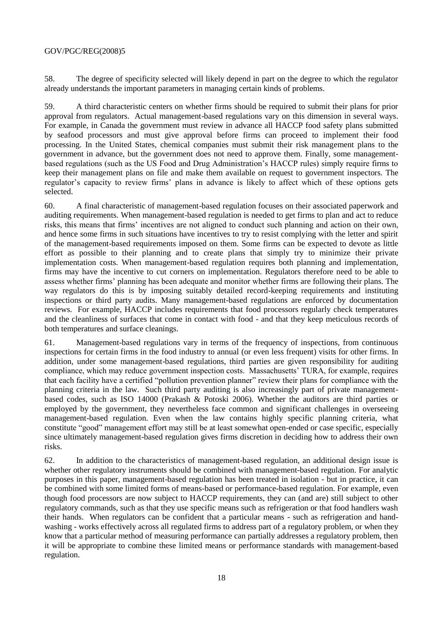58. The degree of specificity selected will likely depend in part on the degree to which the regulator already understands the important parameters in managing certain kinds of problems.

59. A third characteristic centers on whether firms should be required to submit their plans for prior approval from regulators. Actual management-based regulations vary on this dimension in several ways. For example, in Canada the government must review in advance all HACCP food safety plans submitted by seafood processors and must give approval before firms can proceed to implement their food processing. In the United States, chemical companies must submit their risk management plans to the government in advance, but the government does not need to approve them. Finally, some managementbased regulations (such as the US Food and Drug Administration's HACCP rules) simply require firms to keep their management plans on file and make them available on request to government inspectors. The regulator's capacity to review firms' plans in advance is likely to affect which of these options gets selected.

60. A final characteristic of management-based regulation focuses on their associated paperwork and auditing requirements. When management-based regulation is needed to get firms to plan and act to reduce risks, this means that firms' incentives are not aligned to conduct such planning and action on their own, and hence some firms in such situations have incentives to try to resist complying with the letter and spirit of the management-based requirements imposed on them. Some firms can be expected to devote as little effort as possible to their planning and to create plans that simply try to minimize their private implementation costs. When management-based regulation requires both planning and implementation, firms may have the incentive to cut corners on implementation. Regulators therefore need to be able to assess whether firms' planning has been adequate and monitor whether firms are following their plans. The way regulators do this is by imposing suitably detailed record-keeping requirements and instituting inspections or third party audits. Many management-based regulations are enforced by documentation reviews. For example, HACCP includes requirements that food processors regularly check temperatures and the cleanliness of surfaces that come in contact with food - and that they keep meticulous records of both temperatures and surface cleanings.

61. Management-based regulations vary in terms of the frequency of inspections, from continuous inspections for certain firms in the food industry to annual (or even less frequent) visits for other firms. In addition, under some management-based regulations, third parties are given responsibility for auditing compliance, which may reduce government inspection costs. Massachusetts' TURA, for example, requires that each facility have a certified "pollution prevention planner" review their plans for compliance with the planning criteria in the law. Such third party auditing is also increasingly part of private managementbased codes, such as ISO 14000 (Prakash & Potoski 2006). Whether the auditors are third parties or employed by the government, they nevertheless face common and significant challenges in overseeing management-based regulation. Even when the law contains highly specific planning criteria, what constitute "good" management effort may still be at least somewhat open-ended or case specific, especially since ultimately management-based regulation gives firms discretion in deciding how to address their own risks.

62. In addition to the characteristics of management-based regulation, an additional design issue is whether other regulatory instruments should be combined with management-based regulation. For analytic purposes in this paper, management-based regulation has been treated in isolation - but in practice, it can be combined with some limited forms of means-based or performance-based regulation. For example, even though food processors are now subject to HACCP requirements, they can (and are) still subject to other regulatory commands, such as that they use specific means such as refrigeration or that food handlers wash their hands. When regulators can be confident that a particular means - such as refrigeration and handwashing - works effectively across all regulated firms to address part of a regulatory problem, or when they know that a particular method of measuring performance can partially addresses a regulatory problem, then it will be appropriate to combine these limited means or performance standards with management-based regulation.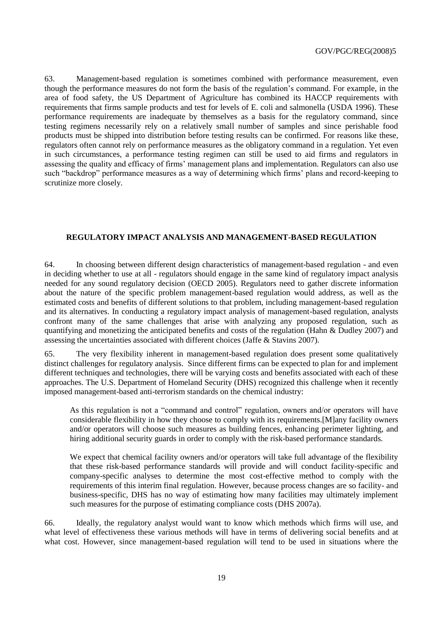63. Management-based regulation is sometimes combined with performance measurement, even though the performance measures do not form the basis of the regulation's command. For example, in the area of food safety, the US Department of Agriculture has combined its HACCP requirements with requirements that firms sample products and test for levels of E. coli and salmonella (USDA 1996). These performance requirements are inadequate by themselves as a basis for the regulatory command, since testing regimens necessarily rely on a relatively small number of samples and since perishable food products must be shipped into distribution before testing results can be confirmed. For reasons like these, regulators often cannot rely on performance measures as the obligatory command in a regulation. Yet even in such circumstances, a performance testing regimen can still be used to aid firms and regulators in assessing the quality and efficacy of firms' management plans and implementation. Regulators can also use such "backdrop" performance measures as a way of determining which firms' plans and record-keeping to scrutinize more closely.

#### **REGULATORY IMPACT ANALYSIS AND MANAGEMENT-BASED REGULATION**

64. In choosing between different design characteristics of management-based regulation - and even in deciding whether to use at all - regulators should engage in the same kind of regulatory impact analysis needed for any sound regulatory decision (OECD 2005). Regulators need to gather discrete information about the nature of the specific problem management-based regulation would address, as well as the estimated costs and benefits of different solutions to that problem, including management-based regulation and its alternatives. In conducting a regulatory impact analysis of management-based regulation, analysts confront many of the same challenges that arise with analyzing any proposed regulation, such as quantifying and monetizing the anticipated benefits and costs of the regulation (Hahn & Dudley 2007) and assessing the uncertainties associated with different choices (Jaffe & Stavins 2007).

65. The very flexibility inherent in management-based regulation does present some qualitatively distinct challenges for regulatory analysis. Since different firms can be expected to plan for and implement different techniques and technologies, there will be varying costs and benefits associated with each of these approaches. The U.S. Department of Homeland Security (DHS) recognized this challenge when it recently imposed management-based anti-terrorism standards on the chemical industry:

As this regulation is not a "command and control" regulation, owners and/or operators will have considerable flexibility in how they choose to comply with its requirements.[M]any facility owners and/or operators will choose such measures as building fences, enhancing perimeter lighting, and hiring additional security guards in order to comply with the risk-based performance standards.

We expect that chemical facility owners and/or operators will take full advantage of the flexibility that these risk-based performance standards will provide and will conduct facility-specific and company-specific analyses to determine the most cost-effective method to comply with the requirements of this interim final regulation. However, because process changes are so facility- and business-specific, DHS has no way of estimating how many facilities may ultimately implement such measures for the purpose of estimating compliance costs (DHS 2007a).

66. Ideally, the regulatory analyst would want to know which methods which firms will use, and what level of effectiveness these various methods will have in terms of delivering social benefits and at what cost. However, since management-based regulation will tend to be used in situations where the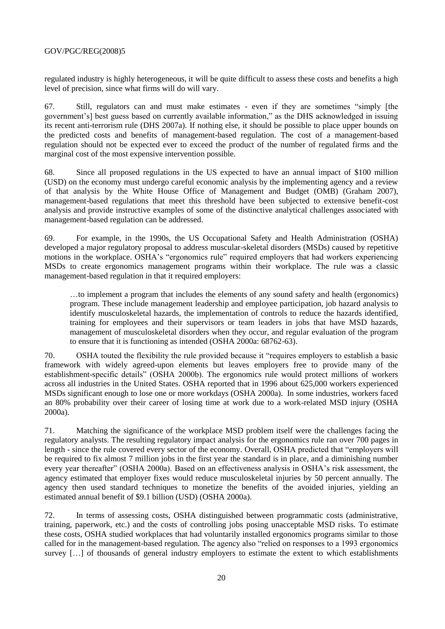regulated industry is highly heterogeneous, it will be quite difficult to assess these costs and benefits a high level of precision, since what firms will do will vary.

67. Still, regulators can and must make estimates - even if they are sometimes "simply [the government's] best guess based on currently available information," as the DHS acknowledged in issuing its recent anti-terrorism rule (DHS 2007a). If nothing else, it should be possible to place upper bounds on the predicted costs and benefits of management-based regulation. The cost of a management-based regulation should not be expected ever to exceed the product of the number of regulated firms and the marginal cost of the most expensive intervention possible.

68. Since all proposed regulations in the US expected to have an annual impact of \$100 million (USD) on the economy must undergo careful economic analysis by the implementing agency and a review of that analysis by the White House Office of Management and Budget (OMB) (Graham 2007), management-based regulations that meet this threshold have been subjected to extensive benefit-cost analysis and provide instructive examples of some of the distinctive analytical challenges associated with management-based regulation can be addressed.

69. For example, in the 1990s, the US Occupational Safety and Health Administration (OSHA) developed a major regulatory proposal to address muscular-skeletal disorders (MSDs) caused by repetitive motions in the workplace. OSHA's "ergonomics rule" required employers that had workers experiencing MSDs to create ergonomics management programs within their workplace. The rule was a classic management-based regulation in that it required employers:

…to implement a program that includes the elements of any sound safety and health (ergonomics) program. These include management leadership and employee participation, job hazard analysis to identify musculoskeletal hazards, the implementation of controls to reduce the hazards identified, training for employees and their supervisors or team leaders in jobs that have MSD hazards, management of musculoskeletal disorders when they occur, and regular evaluation of the program to ensure that it is functioning as intended (OSHA 2000a: 68762-63).

70. OSHA touted the flexibility the rule provided because it "requires employers to establish a basic framework with widely agreed-upon elements but leaves employers free to provide many of the establishment-specific details" (OSHA 2000b). The ergonomics rule would protect millions of workers across all industries in the United States. OSHA reported that in 1996 about 625,000 workers experienced MSDs significant enough to lose one or more workdays (OSHA 2000a). In some industries, workers faced an 80% probability over their career of losing time at work due to a work-related MSD injury (OSHA 2000a).

71. Matching the significance of the workplace MSD problem itself were the challenges facing the regulatory analysts. The resulting regulatory impact analysis for the ergonomics rule ran over 700 pages in length - since the rule covered every sector of the economy. Overall, OSHA predicted that "employers will be required to fix almost 7 million jobs in the first year the standard is in place, and a diminishing number every year thereafter" (OSHA 2000a). Based on an effectiveness analysis in OSHA's risk assessment, the agency estimated that employer fixes would reduce musculoskeletal injuries by 50 percent annually. The agency then used standard techniques to monetize the benefits of the avoided injuries, yielding an estimated annual benefit of \$9.1 billion (USD) (OSHA 2000a).

72. In terms of assessing costs, OSHA distinguished between programmatic costs (administrative, training, paperwork, etc.) and the costs of controlling jobs posing unacceptable MSD risks. To estimate these costs, OSHA studied workplaces that had voluntarily installed ergonomics programs similar to those called for in the management-based regulation. The agency also "relied on responses to a 1993 ergonomics survey […] of thousands of general industry employers to estimate the extent to which establishments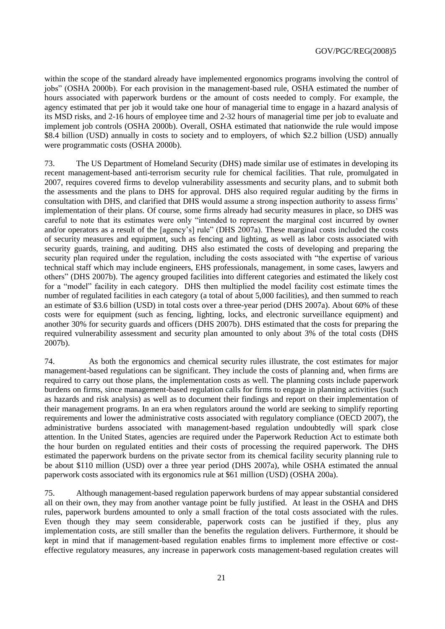within the scope of the standard already have implemented ergonomics programs involving the control of jobs" (OSHA 2000b). For each provision in the management-based rule, OSHA estimated the number of hours associated with paperwork burdens or the amount of costs needed to comply. For example, the agency estimated that per job it would take one hour of managerial time to engage in a hazard analysis of its MSD risks, and 2-16 hours of employee time and 2-32 hours of managerial time per job to evaluate and implement job controls (OSHA 2000b). Overall, OSHA estimated that nationwide the rule would impose \$8.4 billion (USD) annually in costs to society and to employers, of which \$2.2 billion (USD) annually were programmatic costs (OSHA 2000b).

73. The US Department of Homeland Security (DHS) made similar use of estimates in developing its recent management-based anti-terrorism security rule for chemical facilities. That rule, promulgated in 2007, requires covered firms to develop vulnerability assessments and security plans, and to submit both the assessments and the plans to DHS for approval. DHS also required regular auditing by the firms in consultation with DHS, and clarified that DHS would assume a strong inspection authority to assess firms' implementation of their plans. Of course, some firms already had security measures in place, so DHS was careful to note that its estimates were only "intended to represent the marginal cost incurred by owner and/or operators as a result of the [agency's] rule" (DHS 2007a). These marginal costs included the costs of security measures and equipment, such as fencing and lighting, as well as labor costs associated with security guards, training, and auditing. DHS also estimated the costs of developing and preparing the security plan required under the regulation, including the costs associated with "the expertise of various technical staff which may include engineers, EHS professionals, management, in some cases, lawyers and others" (DHS 2007b). The agency grouped facilities into different categories and estimated the likely cost for a "model" facility in each category. DHS then multiplied the model facility cost estimate times the number of regulated facilities in each category (a total of about 5,000 facilities), and then summed to reach an estimate of \$3.6 billion (USD) in total costs over a three-year period (DHS 2007a). About 60% of these costs were for equipment (such as fencing, lighting, locks, and electronic surveillance equipment) and another 30% for security guards and officers (DHS 2007b). DHS estimated that the costs for preparing the required vulnerability assessment and security plan amounted to only about 3% of the total costs (DHS 2007b).

74. As both the ergonomics and chemical security rules illustrate, the cost estimates for major management-based regulations can be significant. They include the costs of planning and, when firms are required to carry out those plans, the implementation costs as well. The planning costs include paperwork burdens on firms, since management-based regulation calls for firms to engage in planning activities (such as hazards and risk analysis) as well as to document their findings and report on their implementation of their management programs. In an era when regulators around the world are seeking to simplify reporting requirements and lower the administrative costs associated with regulatory compliance (OECD 2007), the administrative burdens associated with management-based regulation undoubtedly will spark close attention. In the United States, agencies are required under the Paperwork Reduction Act to estimate both the hour burden on regulated entities and their costs of processing the required paperwork. The DHS estimated the paperwork burdens on the private sector from its chemical facility security planning rule to be about \$110 million (USD) over a three year period (DHS 2007a), while OSHA estimated the annual paperwork costs associated with its ergonomics rule at \$61 million (USD) (OSHA 200a).

75. Although management-based regulation paperwork burdens of may appear substantial considered all on their own, they may from another vantage point be fully justified. At least in the OSHA and DHS rules, paperwork burdens amounted to only a small fraction of the total costs associated with the rules. Even though they may seem considerable, paperwork costs can be justified if they, plus any implementation costs, are still smaller than the benefits the regulation delivers. Furthermore, it should be kept in mind that if management-based regulation enables firms to implement more effective or costeffective regulatory measures, any increase in paperwork costs management-based regulation creates will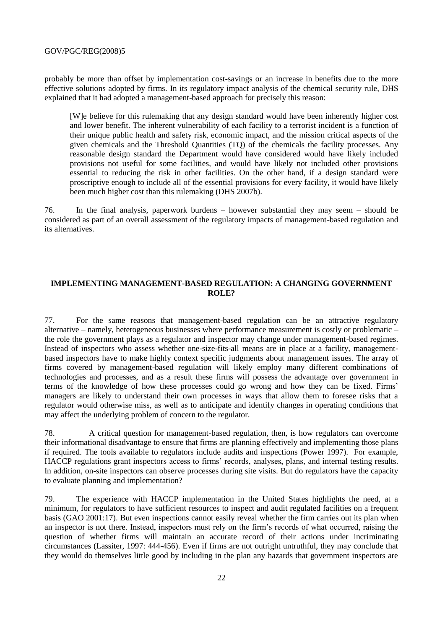probably be more than offset by implementation cost-savings or an increase in benefits due to the more effective solutions adopted by firms. In its regulatory impact analysis of the chemical security rule, DHS explained that it had adopted a management-based approach for precisely this reason:

[W]e believe for this rulemaking that any design standard would have been inherently higher cost and lower benefit. The inherent vulnerability of each facility to a terrorist incident is a function of their unique public health and safety risk, economic impact, and the mission critical aspects of the given chemicals and the Threshold Quantities (TQ) of the chemicals the facility processes. Any reasonable design standard the Department would have considered would have likely included provisions not useful for some facilities, and would have likely not included other provisions essential to reducing the risk in other facilities. On the other hand, if a design standard were proscriptive enough to include all of the essential provisions for every facility, it would have likely been much higher cost than this rulemaking (DHS 2007b).

76. In the final analysis, paperwork burdens – however substantial they may seem – should be considered as part of an overall assessment of the regulatory impacts of management-based regulation and its alternatives.

## **IMPLEMENTING MANAGEMENT-BASED REGULATION: A CHANGING GOVERNMENT ROLE?**

77. For the same reasons that management-based regulation can be an attractive regulatory alternative – namely, heterogeneous businesses where performance measurement is costly or problematic – the role the government plays as a regulator and inspector may change under management-based regimes. Instead of inspectors who assess whether one-size-fits-all means are in place at a facility, managementbased inspectors have to make highly context specific judgments about management issues. The array of firms covered by management-based regulation will likely employ many different combinations of technologies and processes, and as a result these firms will possess the advantage over government in terms of the knowledge of how these processes could go wrong and how they can be fixed. Firms' managers are likely to understand their own processes in ways that allow them to foresee risks that a regulator would otherwise miss, as well as to anticipate and identify changes in operating conditions that may affect the underlying problem of concern to the regulator.

78. A critical question for management-based regulation, then, is how regulators can overcome their informational disadvantage to ensure that firms are planning effectively and implementing those plans if required. The tools available to regulators include audits and inspections (Power 1997). For example, HACCP regulations grant inspectors access to firms' records, analyses, plans, and internal testing results. In addition, on-site inspectors can observe processes during site visits. But do regulators have the capacity to evaluate planning and implementation?

79. The experience with HACCP implementation in the United States highlights the need, at a minimum, for regulators to have sufficient resources to inspect and audit regulated facilities on a frequent basis (GAO 2001:17). But even inspections cannot easily reveal whether the firm carries out its plan when an inspector is not there. Instead, inspectors must rely on the firm's records of what occurred, raising the question of whether firms will maintain an accurate record of their actions under incriminating circumstances (Lassiter, 1997: 444-456). Even if firms are not outright untruthful, they may conclude that they would do themselves little good by including in the plan any hazards that government inspectors are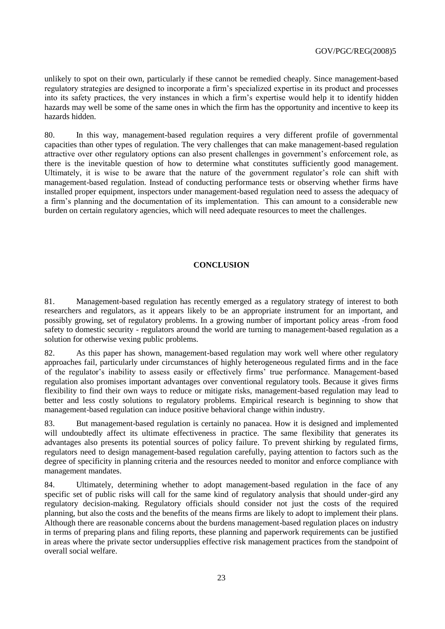unlikely to spot on their own, particularly if these cannot be remedied cheaply. Since management-based regulatory strategies are designed to incorporate a firm's specialized expertise in its product and processes into its safety practices, the very instances in which a firm's expertise would help it to identify hidden hazards may well be some of the same ones in which the firm has the opportunity and incentive to keep its hazards hidden.

80. In this way, management-based regulation requires a very different profile of governmental capacities than other types of regulation. The very challenges that can make management-based regulation attractive over other regulatory options can also present challenges in government's enforcement role, as there is the inevitable question of how to determine what constitutes sufficiently good management. Ultimately, it is wise to be aware that the nature of the government regulator's role can shift with management-based regulation. Instead of conducting performance tests or observing whether firms have installed proper equipment, inspectors under management-based regulation need to assess the adequacy of a firm's planning and the documentation of its implementation. This can amount to a considerable new burden on certain regulatory agencies, which will need adequate resources to meet the challenges.

### **CONCLUSION**

81. Management-based regulation has recently emerged as a regulatory strategy of interest to both researchers and regulators, as it appears likely to be an appropriate instrument for an important, and possibly growing, set of regulatory problems. In a growing number of important policy areas -from food safety to domestic security - regulators around the world are turning to management-based regulation as a solution for otherwise vexing public problems.

82. As this paper has shown, management-based regulation may work well where other regulatory approaches fail, particularly under circumstances of highly heterogeneous regulated firms and in the face of the regulator's inability to assess easily or effectively firms' true performance. Management-based regulation also promises important advantages over conventional regulatory tools. Because it gives firms flexibility to find their own ways to reduce or mitigate risks, management-based regulation may lead to better and less costly solutions to regulatory problems. Empirical research is beginning to show that management-based regulation can induce positive behavioral change within industry.

83. But management-based regulation is certainly no panacea. How it is designed and implemented will undoubtedly affect its ultimate effectiveness in practice. The same flexibility that generates its advantages also presents its potential sources of policy failure. To prevent shirking by regulated firms, regulators need to design management-based regulation carefully, paying attention to factors such as the degree of specificity in planning criteria and the resources needed to monitor and enforce compliance with management mandates.

84. Ultimately, determining whether to adopt management-based regulation in the face of any specific set of public risks will call for the same kind of regulatory analysis that should under-gird any regulatory decision-making. Regulatory officials should consider not just the costs of the required planning, but also the costs and the benefits of the means firms are likely to adopt to implement their plans. Although there are reasonable concerns about the burdens management-based regulation places on industry in terms of preparing plans and filing reports, these planning and paperwork requirements can be justified in areas where the private sector undersupplies effective risk management practices from the standpoint of overall social welfare.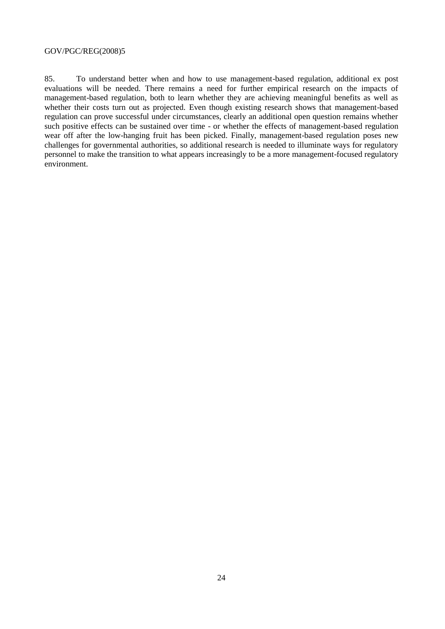85. To understand better when and how to use management-based regulation, additional ex post evaluations will be needed. There remains a need for further empirical research on the impacts of management-based regulation, both to learn whether they are achieving meaningful benefits as well as whether their costs turn out as projected. Even though existing research shows that management-based regulation can prove successful under circumstances, clearly an additional open question remains whether such positive effects can be sustained over time - or whether the effects of management-based regulation wear off after the low-hanging fruit has been picked. Finally, management-based regulation poses new challenges for governmental authorities, so additional research is needed to illuminate ways for regulatory personnel to make the transition to what appears increasingly to be a more management-focused regulatory environment.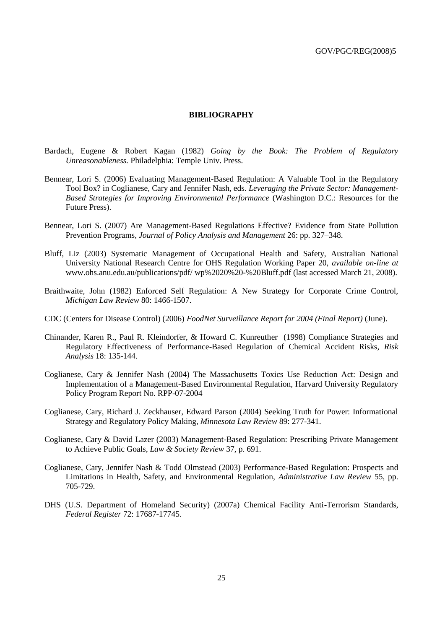#### **BIBLIOGRAPHY**

- Bardach, Eugene & Robert Kagan (1982) *Going by the Book: The Problem of Regulatory Unreasonableness.* Philadelphia: Temple Univ. Press.
- Bennear, Lori S. (2006) Evaluating Management-Based Regulation: A Valuable Tool in the Regulatory Tool Box? in Coglianese, Cary and Jennifer Nash, eds. *Leveraging the Private Sector: Management-Based Strategies for Improving Environmental Performance* (Washington D.C.: Resources for the Future Press).
- Bennear, Lori S. (2007) Are Management-Based Regulations Effective? Evidence from State Pollution Prevention Programs, *Journal of Policy Analysis and Management* 26: pp. 327–348.
- Bluff, Liz (2003) Systematic Management of Occupational Health and Safety, Australian National University National Research Centre for OHS Regulation Working Paper 20, *available on-line at* www.ohs.anu.edu.au/publications/pdf/ wp%2020%20-%20Bluff.pdf (last accessed March 21, 2008).
- Braithwaite, John (1982) Enforced Self Regulation: A New Strategy for Corporate Crime Control, *Michigan Law Review* 80: 1466-1507.
- CDC (Centers for Disease Control) (2006) *FoodNet Surveillance Report for 2004 (Final Report)* (June).
- Chinander, Karen R., Paul R. Kleindorfer, & Howard C. Kunreuther (1998) Compliance Strategies and Regulatory Effectiveness of Performance-Based Regulation of Chemical Accident Risks, *Risk Analysis* 18: 135-144.
- Coglianese, Cary & Jennifer Nash (2004) The Massachusetts Toxics Use Reduction Act: Design and Implementation of a Management-Based Environmental Regulation, Harvard University Regulatory Policy Program Report No. RPP-07-2004
- Coglianese, Cary, Richard J. Zeckhauser, Edward Parson (2004) Seeking Truth for Power: Informational Strategy and Regulatory Policy Making, *Minnesota Law Review* 89: 277-341.
- Coglianese, Cary & David Lazer (2003) Management-Based Regulation: Prescribing Private Management to Achieve Public Goals, *Law & Society Review* 37, p. 691.
- Coglianese, Cary, Jennifer Nash & Todd Olmstead (2003) Performance-Based Regulation: Prospects and Limitations in Health, Safety, and Environmental Regulation, *Administrative Law Review* 55, pp. 705-729.
- DHS (U.S. Department of Homeland Security) (2007a) Chemical Facility Anti-Terrorism Standards, *Federal Register* 72: 17687-17745.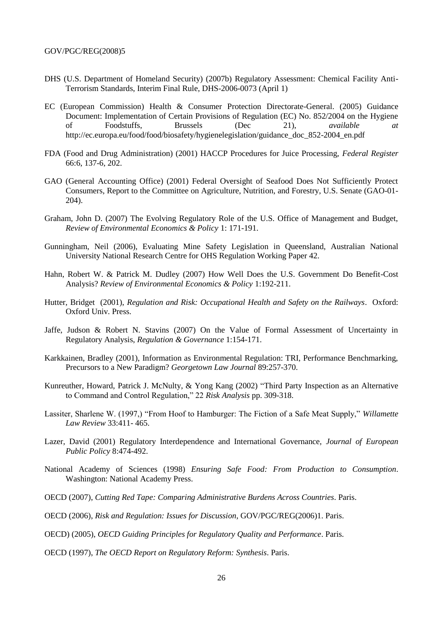- DHS (U.S. Department of Homeland Security) (2007b) Regulatory Assessment: Chemical Facility Anti-Terrorism Standards, Interim Final Rule, DHS-2006-0073 (April 1)
- EC (European Commission) Health & Consumer Protection Directorate-General. (2005) Guidance Document: Implementation of Certain Provisions of Regulation (EC) No. 852/2004 on the Hygiene of Foodstuffs, Brussels (Dec 21), *available at* http://ec.europa.eu/food/food/biosafety/hygienelegislation/guidance\_doc\_852-2004\_en.pdf
- FDA (Food and Drug Administration) (2001) HACCP Procedures for Juice Processing, *Federal Register* 66:6, 137-6, 202.
- GAO (General Accounting Office) (2001) Federal Oversight of Seafood Does Not Sufficiently Protect Consumers, Report to the Committee on Agriculture, Nutrition, and Forestry, U.S. Senate (GAO-01- 204).
- Graham, John D. (2007) The Evolving Regulatory Role of the U.S. Office of Management and Budget, *Review of Environmental Economics & Policy* 1: 171-191.
- Gunningham, Neil (2006), Evaluating Mine Safety Legislation in Queensland, Australian National University National Research Centre for OHS Regulation Working Paper 42.
- Hahn, Robert W. & Patrick M. Dudley (2007) How Well Does the U.S. Government Do Benefit-Cost Analysis? *Review of Environmental Economics & Policy* 1:192-211.
- Hutter, Bridget (2001), *Regulation and Risk: Occupational Health and Safety on the Railways*. Oxford: Oxford Univ. Press.
- Jaffe, Judson & Robert N. Stavins (2007) On the Value of Formal Assessment of Uncertainty in Regulatory Analysis, *Regulation & Governance* 1:154-171.
- Karkkainen, Bradley (2001), Information as Environmental Regulation: TRI, Performance Benchmarking, Precursors to a New Paradigm? *Georgetown Law Journal* 89:257-370.
- Kunreuther, Howard, Patrick J. McNulty, & Yong Kang (2002) "Third Party Inspection as an Alternative to Command and Control Regulation," 22 *Risk Analysis* pp. 309-318.
- Lassiter, Sharlene W. (1997,) "From Hoof to Hamburger: The Fiction of a Safe Meat Supply," *Willamette Law Review* 33:411- 465.
- Lazer, David (2001) Regulatory Interdependence and International Governance, *Journal of European Public Policy* 8:474-492.
- National Academy of Sciences (1998) *Ensuring Safe Food: From Production to Consumption*. Washington: National Academy Press.
- OECD (2007), *Cutting Red Tape: Comparing Administrative Burdens Across Countries*. Paris.
- OECD (2006), *Risk and Regulation: Issues for Discussion*, GOV/PGC/REG(2006)1. Paris.
- OECD) (2005), *OECD Guiding Principles for Regulatory Quality and Performance*. Paris.
- OECD (1997), *The OECD Report on Regulatory Reform: Synthesis*. Paris.